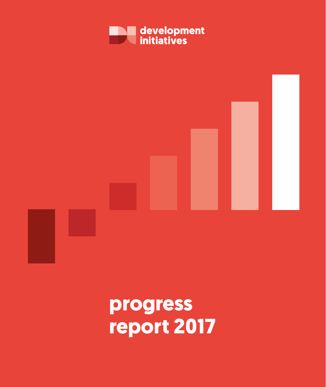# **progress report 2017**



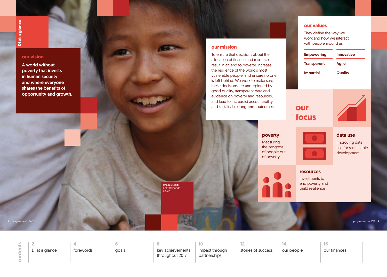## poverty

**Measuring** the progress of people out of poverty

## resources

Investments to end poverty and build resilience



## data use

Improving data use for sustainable development

## <span id="page-1-0"></span>**our vision**

A world without poverty that invests in human security and where everyone shares the benefits of opportunity and growth.

## **our values**

They define the way we work and how we interact with people around us.

| <b>Empowering</b>  | <b>Innovative</b> |  |
|--------------------|-------------------|--|
| <b>Transparent</b> | <b>Agile</b>      |  |
| <b>Impartial</b>   | <b>Quality</b>    |  |

## **our mission**

contents **contents**

To ensure that decisions about the allocation of finance and resources result in an end to poverty, increase the resilience of the world's most vulnerable people, and ensure no one is left behind. We work to make sure these decisions are underpinned by good quality, transparent data and evidence on poverty and resources, and lead to increased accountability and sustainable long-term outcomes.

Image credit: Kelly Ramundo, USAID





**2** progress report 2017 progress report 2017 **3**

**2** DI at a glance

**6** [goals](#page-3-0) **10**

[impact through](#page-5-0)  partnerships

**14**

[our people](#page-7-0)

**4** [forewords](#page-2-0) **8**

[key achievements](#page-4-0)  throughout 2017

**12**

[stories of success](#page-6-0)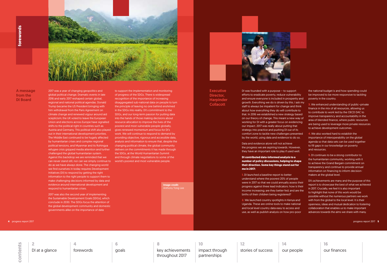2017 was a year of changing geopolitics and global political change. Dramatic events in late 2016 and early 2017 reshaped certain global, regional and national political agendas. Donald Trump became the US President bringing with him withdrawal from the Paris Agreement on climate change and renewed vigour around aid scepticism; the UK voted to leave the European Union and elections across Europe have signalled shifts to the political right in countries such as Austria and Germany. This political shift also played gives renewed momentum and focus for DI's out in their international development priorities. The Middle East continued to be hugely affected by humanitarian crises and complex regional political tensions, and Myanmar and its Rohingya refugee crisis gripped media attention and further challenged the global humanitarian system. Against this backdrop we are reminded that we can never stand still, nor can we simply continue to world's poorest and most vulnerable people. do as we have always done. The changing world we find ourselves in today requires Development Initiatives (DI) to respond by getting the right information to the right people to support them to make challenging decisions informed by data and evidence around international development and respond to humanitarian crises.

2017 was also the second year of implementing the Sustainable Development Goals (SDGs), which conclude in 2030. The SDGs focus the attention of the global development community and domestic governments alike on the importance of data

to support the implementation and monitoring of progress of the SDGs. There is widespread recognition of the importance of increasing disaggregated sub-national data on people to turn the principle of leaving no one behind enshrined in the SDGs into reality. DI's commitment to the SDGs, and our long-term passion for putting data into the hands of those making decisions about resource allocation to improve the lives of the poorest and most vulnerable people globally, work. We will continue to respond to demand by providing objective, rigorous and accessible data, analysis and information to ensure that, despite the changing political climate, the global community delivers on the commitments it has made through the SDGs, at the World Humanitarian Summit and through climate negotiations to some of the

<span id="page-2-0"></span>

DI was founded with a purpose – to support efforts to eradicate poverty, reduce vulnerability and ensure everyone is included in prosperity and growth. Everything we do is driven by this. I ask my staff to always be impatient for change and think about how everything they do will contribute to that. In 2016 we established a new strategy based on our theory of change. This meant a new way of working for DI with a greater focus on evidencing our impact. 2017 was really about putting that strategy into practice and pushing DI out of its comfort zone to tackle new challenges presented by the world, using data and evidence to do so.

Data and evidence alone will not achieve the progress we are aspiring towards. However, they have an important role to play if used well.

**DI contributed data-informed analysis to a number of policy discussions, helping to shape their direction. Some key things stand out for me in 2017:**

**1.** DI launched a baseline report to better understand where the poorest 20% of people were in 2017 so that we could annually assess their progress against three lead indicators: how is their income increasing; are they better fed; and are the births of their children being registered?

**2.** We launched country spotlights in Kenya and Uganda. These are online tools to make national and local level country data easy to access and use, as well as publish analysis on how pro-poor

the national budget is and how spending could be improved to be more responsive to tackling poverty in the country.

**3.** We enhanced understanding of public–private finance in the mix of all resources, allowing us to contribute to work led by the OECD DAC to improve transparency and accountability in the area of blended finance, where public resources are being used to leverage more private resources to achieve development outcomes.

**4.** We also worked hard to establish the importance of interoperability on the global agenda so that data sets can be used together to fill gaps in our knowledge on poverty and resources.

**5.** DI continues to be a strong contributor to the humanitarian community, working with it to achieve the Grand Bargain commitment on transparency and continue to provide annual information on financing to inform decisionmakers at the global level.

DI's achievements are many and the purpose of this report is to showcase the best of what we achieved in 2017. Crucially, we feel it is also important to highlight that none of this work would be possible without the numerous partners we work with from the global to the local level. It is their openness, ideas and mutual dedication to fostering collaboration that enables us to make important advances towards the aims we share with many.

## A message from the DI Board

Image credit:



**Executive** Director, Harpinder **Collacott** 

**2** [DI at a glance](#page-1-0) **6**

[goals](#page-3-0)

**10**

[impact through](#page-5-0)  partnerships

**14**

[our people](#page-7-0)

**4** forewords **8**

[key achievements](#page-4-0)  throughout 2017

**12**

[stories of success](#page-6-0)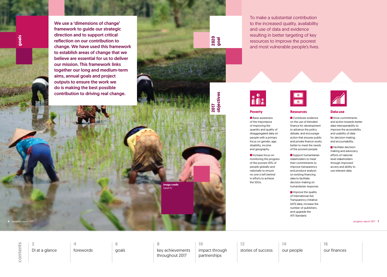To make a substantial contribution to the increased quality, availability



and use of data and evidence resulting in better targeting of key resources to improve the poorest and most vulnerable people's lives.



<span id="page-3-0"></span>**goals**

**2020 goal**

**2017** 

**objectives**

objectives

Image credit: SarahTz

**Raise awareness** of the importance of improving the quantity and quality of disaggregated data on people with a primary focus on gender, age, disability, income and geography.

We use a 'dimensions of change' framework to guide our strategic direction and to support critical reflection on our contribution to change. We have used this framework to establish areas of change that we believe are essential for us to deliver our mission. This framework links together our long and medium-term aims, annual goals and project outputs to ensure the work we do is making the best possible contribution to driving real change.

Increase focus on monitoring the progress of the poorest 20% of people globally and nationally to ensure no one is left behind in efforts to achieve the SDGs.

## **Poverty**

Support humanitarian stakeholders to meet their commitments to improve transparency and produce analysis on existing financing data to facilitate decision-making on humanitarian response.

 $\blacksquare$  Improve the quality of International Aid Transparency Initiative (IATI) data, increase the number of publishers, and upgrade the IATI Standard.



Drive commitments and action towards better data interoperability to improve the accessibility and usability of data for decision-making and accountability.

**Facilitate decision**making and advocacy efforts of nationallevel stakeholders through improved access and ability to use relevant data.

**Resources** Contribute evidence on the use of blended finance for development to advance the policy debate, and encourage action that ensures public and private finance works better to meet the needs of the poorest people.

#### **Data use**

**6** progress report 2017 progress report 2017 **7**

**2** [DI at a glance](#page-1-0) **6** goals **10**

[impact through](#page-5-0)  partnerships

**14**

[our people](#page-7-0)

**4** [forewords](#page-2-0)

**8** [key achievements](#page-4-0)  throughout 2017

**12**

[stories of success](#page-6-0)

**16**

[our finances](#page-8-0)

**contents**

contents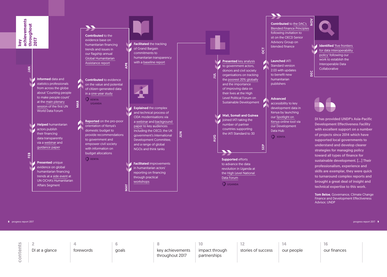**Tom Beloe, Governance, Climate Change** Finance and Development Effectiveness Advisor, UNDP

contents **contents**

DI has provided UNDP's Asia-Pacific Development Effectiveness Facility with excellent support on a number of projects since 2014 which have supported local governments to understand and develop clearer strategies for managing policy toward all types of finance for sustainable development. [...] Their professionalism, experience and skills are exemplar, they were quick to turnaround complex reports and brought a great deal of insight and technical expertise to this work.

<span id="page-4-0"></span>

**8** progress report 2017 progress report 2017 **9**

**2** [DI at a glance](#page-1-0) **6** [goals](#page-3-0) **10** [impact through](#page-5-0) 

partnerships

**14**

DEC USE USE

DEC

blended finance **Internal Identified** 'five frontiers' for [data interoperability](http://devinit.org/post/whats-next-data-interoperability/)  [policy'](http://devinit.org/post/whats-next-data-interoperability/) following our work to establish the Interoperable Data **Collaborative** 

[our people](#page-7-0)

**4** [forewords](#page-2-0) **8**

key achievements throughout 2017

**12**

[stories of success](#page-6-0)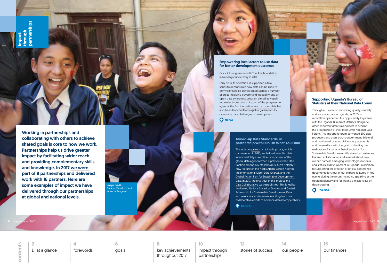Working in partnerships and collaborating with others to achieve shared goals is core to how we work. Partnerships help us drive greater impact by facilitating wider reach and providing complementary skills and knowledge. In 2017 [we were](http://devinit.org/working-with-us/partnerships/)  part of 8 [partnerships and delivered](http://devinit.org/working-with-us/partnerships/)  [work with 16 partners.](http://devinit.org/working-with-us/partnerships/) Here are some examples of impact we have delivered through our partnerships at global and national levels.

Empowering local actors to use data for better development outcomes

Our joint programme with [The Asia Foundation](https://asiafoundation.org/) in Nepal got under way in 2017.

Early on in its operation, it supported a [film](file:///C:/Users/harpinderc/AppData/Local/Microsoft/Windows/Temporary Internet Files/Content.Outlook/66UQ4SV2/-%09Reported on the pro-poor orientation of Uganda’s domestic budget (Uganda))  [series](file:///C:/Users/harpinderc/AppData/Local/Microsoft/Windows/Temporary Internet Files/Content.Outlook/66UQ4SV2/-%09Reported on the pro-poor orientation of Uganda’s domestic budget (Uganda)) to demonstrate how data can be used to demystify Nepal's development across a number of areas including poverty and inequality, and an open data [awareness program](http://odap.oknp.org/) aimed at Nepal's future decision-makers. As part of the programme agenda, the first [innovation fund on open data](http://opennepal.net/blog/new-open-data-innovation-fund-nepal-apply-now) has also been launched for Nepali organisations to overcome data challenges in development.

**O** NEPAL

<span id="page-5-0"></span>**impact through partnerships**

**10** progress report 2017 progress report 2017 **11**

Image credit: Data for Development in Nepal Program

#### **Joined-up Data Standards, in partnership with Publish What You Fund**

Through our [project](http://juds.joinedupdata.org/) on joined-up data, which commenced in 2015, we helped establish data interoperability as a critical component of the global data agenda when it previously had little traction among key stakeholders. Most notably it now features in the [Addis Ababa Action Agenda](http://www.un.org/esa/ffd/ffd3/press-release/countries-reach-historic-agreement.html), the [International Open Data Charter,](https://opendatacharter.net/) and the [Global Action Plan for Sustainable Development](https://unstats.un.org/sdgs/hlg/Cape-Town-Global-Action-Plan/)  [Data.](https://unstats.un.org/sdgs/hlg/Cape-Town-Global-Action-Plan/) In 2017, the final year of this project, the [Data Collaborative](http://www.data4sdgs.org/index.php/initiatives/interoperability-data-collaborative) was established. This is led by the United Nations Statistical Division and Global Partnership for Sustainable Development Data and was a key achievement resulting from our collaborative efforts to advance data interoperability.

**GLOBAL** 

contents **contents**

Supporting Uganda's Bureau of

# Statistics at their National Data Forum Through our work on improving quality, usability

and access to data in Uganda, in 2017 our reputation opened up the opportunity to partner with the Uganda Bureau of Statistics alongside other important data stakeholders to support the organisation of their [High Level National Data](http://devinit.org/post/high-level-national-data-forum-uganda/)  [Forum.](http://devinit.org/post/high-level-national-data-forum-uganda/) This important forum convened 300 data producers and users across government, bilateral and multilateral donors, civil society, academia and the media – with the goal of charting the realisation of a national Data Revolution for Sustainable Development. We shared experiences, fostered collaboration and learned about how we can harness emerging technologies for data and statistical development in Uganda. In addition to supporting the creation of official conference documentation, four of our experts featured in key events during the forum, including speaking at the opening plenary and facilitating a masterclass on data scraping.

**UGANDA**

**2**

[DI at a glance](#page-1-0)

**6** [goals](#page-3-0) **10**

impact through partnerships

**14**

[our people](#page-7-0)

**4** [forewords](#page-2-0)

**8** [key achievements](#page-4-0)  throughout 2017

**12**

[stories of success](#page-6-0)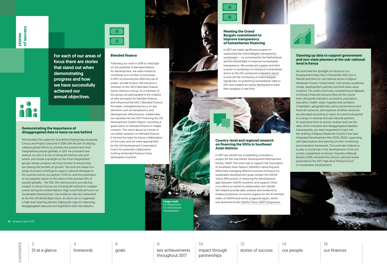### **Demonstrating the importance of disaggregated data to leave no one behind**

We founded [The Leave No One Behind Partnership](https://action4sd.org/leavenoonebehind/) alongside Civicus and Project Everyone in 2016 with the aim of helping catalyse global efforts to prioritise the poorest and most marginalised people globally. In 2017 we provided new analysis on who is at risk of being left behind, why and where, and shone a spotlight on the most marginalised groups whose progress we must monitor to ensure they are sharing the benefits of growth. This took the shape of a range of poverty briefings to support national dialogues in 29 countries led by our partner, CIVICUS, and the publication of our [baseline report](http://devinit.org/post/p20-initiative-data-to-leave-no-one-behind/) on the status of the poorest 20% of people globally – the P20. We were proud to provide key insights on those most at risk of being left behind for multiple events during the United Nations' [High Level Political Forum on](https://sustainabledevelopment.un.org/hlpf)  [Sustainable Development](https://sustainabledevelopment.un.org/hlpf). Our evidence was also presented at the first [UN World Data Forum,](https://undataforum.org/) at which we co-organised a high level opening plenary [making the case](https://undataforum.org/WorldDataForum/counting-people-to-make-people-count/) for improving disaggregated data and civil registration and vital statistics.

### **Meeting the Grand Bargain commitment to improve transparency of humanitarian financing**

In 2017 we made significant progress in supporting the [Grand Bargain transparency](https://interagencystandingcommittee.org/greater-transparency)  [workstream](https://interagencystandingcommittee.org/greater-transparency) – co-convened by the Netherlands and the World Bank to improve humanitarian transparency. We produced [a paper](http://devinit.org/post/an-introduction-to-iati-for-humanitarian-actors/) and held a series of workshops to introduce humanitarian actors to the IATI; produced a [baseline report](http://devinit.org/post/baseline-report-implementing-and-monitoring-the-grand-bargain-commitment-on-transparency/) to kick-off the monitoring of Grand Bargain signatories' on publishing humanitarian data to IATI; and created an [online dashboard](http://46.101.46.6/dashboard) to track their progress in real time.

## **Country-level and regional research on financing the SDGs in Southeast Asian Nations**

In 2017 we carried out a rewarding consultancy project for the Asia Pacific Development Effectiveness Facility, UNDP. This work was to support the Association of Southeast Asian Nations (ASEAN) in attracting and effectively managing different sources of finance for sustainable development goals; bolster the ASEAN Vision 2015 priority of reducing the development gap between ASEAN countries; and support China in its efforts to further its relationship with ASEAN. We helped provide data, analysis and evidence to enable production of country papers for the 10 member states of ASEAN and wrote [a regional report](http://www.asia-pacific.undp.org/content/dam/rbap/docs/meetTheSDGs/Achieving the Sustainable Development Goals in the Era of the AAAA - DFAs as a tool for Linking Finance with Results.pdf), which was launched at the [ASEAN-China-UNDP](http://asean.org/asean-china-undp-symposium-to-focus-on-financing-implementation-of-sdgs-in-asean/) Symposium.

**Blended finance**



contents **contents**

Following our work in 2016 to shed light on the potential of blended finance for development, we were invited to contribute to a number of processes in 2017 on ensuring the effective use of public–private finance. We became a member of the OECD Blended Finance Senior Advisory Group. As a member of this group we participated in the creation of new principles for blended finance, and influenced the DAC's Blended Finance Principles, strengthening focus on key elements such as transparency and development effectiveness. Additionally, we inputted into the 2017 Financing the UN Development System Report, providing a guest piece on blended finance in fragile contexts. This came about as a result of our earlier research on blended finance. It formed the basis for future collaboration on the topic and we were approached by the UN Development Cooperation Forum for potential collaboration looking at blended finance in less developed countries.

## **Opening up data to support government and non-state planners at the sub-national level in Kenya**

We launched the [Spotlight on Kenya](http://data.devinit.org/spotlight-on-kenya) on our Development Data Hub in November 2017, first in Nairobi and then for sub-national actors in Elgeyo Marakwet County. Government, civil society, academia, media, development partners and think tanks were involved. This online tool hosts comprehensive datasets on Kenya's financial resource flows at the county level, alongside indicators on poverty, population, education, health, water, hygiene and sanitation. It highlights, geographically, sector performance and financial resources, and explores whether resources are allocated according to need. As a technical partner to a range of national and sub-national partners, DI supported them to access, analyse and use the data, which included new disaggregated datasets. Subsequently, we were requested to input into the drafting of Elgeyo Marakwet County's five-year Integrated Development Plan (2018–2022), supporting with data analysis and advising on their monitoring and evaluation framework. This work also helped us to play a crucial role in the development of the [civil](http://sdgkenyaforum.org/2017/07/15/voluntary-national-review-vnr-of-progress-on-sdgs-in-kenya/)  [society supplement to Kenya's Voluntary National](http://sdgkenyaforum.org/2017/07/15/voluntary-national-review-vnr-of-progress-on-sdgs-in-kenya/)  [Review \(VNR\),](http://sdgkenyaforum.org/2017/07/15/voluntary-national-review-vnr-of-progress-on-sdgs-in-kenya/) annexed into [Kenya's national review](https://sustainabledevelopment.un.org/content/documents/15689Kenya.pdf) presented at the 2017 High-level Political Forum on Sustainable Development.

<span id="page-6-0"></span>For each of our areas of focus there are stories that stand out when demonstrating progress and how we have successfully achieved our annual objectives.

**12** progress report 2017 progress report 2017 **13**

Image credit: UK Department for International Development



**2**

[DI at a glance](#page-1-0)

**6** [goals](#page-3-0) **10** [impact through](#page-5-0)  partnerships

**14**

[our people](#page-7-0)

**4** [forewords](#page-2-0) **8**

[key achievements](#page-4-0)  throughout 2017

**12**

stories of success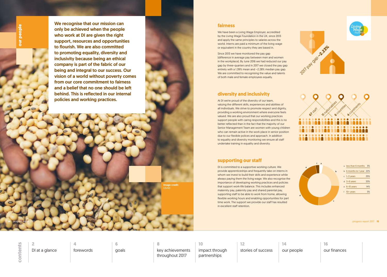## **supporting our staff**

DI is committed to a supportive working culture. We provide apprenticeships and frequently take on interns in whom we invest to build their skills and experience while always paying them the living wage. We also recognise the importance of developing working practices and policies that support work-life balance. This includes enhanced maternity pay, paternity pay and shared parental pay, supporting staff to be able to work from home, allowing flexible working hours and enabling opportunities for part time work. The support we provide our staff has resulted in excellent staff retention.

# **diversity and inclusivity**

At DI we're proud of the diversity of our team, valuing the different skills, experiences and abilities of all individuals. We strive to promote respect and dignity, providing a working environment where everyone feels valued. We are also proud that our working practices support people with caring responsibilities and this is no better reflected than in the fact that the majority of our Senior Management Team are women with young children who can remain active in the work place in senior position due to our flexible polices and approach. In addition to equality and diversity monitoring we ensure all staff undertake training in equality and diversity.

# mage credit: USAID

## **fairness**

We have been a [Living Wage Employer](https://www.livingwage.org.uk/), accredited by the Living Wage Foundation in the UK, since 2013 and apply the same principles to salaries across the world. Interns are paid a minimum of the living wage or equivalent in the country they are based in.

contents **contents**

Since 2013 we have monitored the pay gap (difference in average pay between men and women in the workplace). By June 2016 we had reduced our pay gap by three-quarters and in 2017 we closed the pay gap entirely with a 1.39% mean and –2.28% median pay gap. We are committed to recognising the value and talents of both male and female employees equally.

#### **14** progress report 2017 progress report 2017 **15**

<span id="page-7-0"></span>We recognise that our mission can only be achieved when the people who work at DI are given the right support, resources and opportunities to flourish. We are also committed to promoting equality, diversity and inclusivity because being an ethical company is part of the fabric of our being and integral to our success. Our vision of a world without poverty comes from our core commitment to fairness and a belief that no one should be left behind. This is reflected in our internal policies and working practices.







| a | less than 6 months 3%    |     |
|---|--------------------------|-----|
|   | b 6 months to 1 year 22% |     |
|   | $c$ 1-3 years            | 25% |
|   | $d$ 3-6 years            | 33% |
|   | $e$ 6-10 years           | 14% |
|   | $f$ 10+ years            | 3%  |

**2** [DI at a glance](#page-1-0) **6**

[goals](#page-3-0)

**10**

[impact through](#page-5-0)  partnerships

**14**



our people

**4** [forewords](#page-2-0)

**8** [key achievements](#page-4-0)  throughout 2017

**12**

[stories of success](#page-6-0)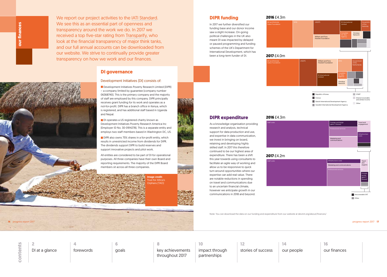<span id="page-8-0"></span>our finances **our finances**

**16** progress report 2017 progress report 2017 **17**

**DIPR funding**

In 2017 we further diversified our funding base and our donor income saw a slight increase. On-going political challenges in the UK also meant DI was impacted by delayed or paused programming and funding schemes of the UK's Department for International Development, which has been a long-term funder of DI.

## **DIPR expenditure**

As a knowledge organisation providing research and analysis, technical support for data production and use, and expertise in data communication, we invest in bringing on board, retaining and developing highly skilled staff. In 2017 this therefore continued to be our highest area of expenditure. There has been a shift this year towards using consultants to facilitate an agile way of working and allow us to be responsive to quick turn-around opportunities where our expertise can add real value. There are notable reductions in spending on travel and communications due to an uncertain financial climate, however we anticipate growth in our communications in 2018 and beyond.

Note: You can download the data on our funding and expenditure from our website at devinit.org/about/finances/



#### **2016** £4.3m

Bill and Melinda Gates Foundation

**Development Initiatives Poverty Research Limited (DIPR)** – a company limited by guarantee (company number 06368740). This is the primary company and the majority of staff are employed by this company. DIPR principally receives grant funding for its work and operates as a not-for-profit. DIPR has a branch office in Kenya, which is registered, and has additional staff based in Uganda and Nepal.



DI operates a US registered charity known as Development Initiatives Poverty Research America Inc (Employer ID No. 30-0914278). This is a separate entity and employs two staff members based in Washington DC, US.

## **2017** £4.2m

Staff costs

DIPR also owns 75% shares in a for-profit entity, which results in unrestricted income from dividends for DIPR. The dividends support DIPR to build reserves and support innovative projects and pilot work.

## **2016** £4.3m



nage credit: Trust for Africa's Orphans (TAO)

contents **contents**



We report our project activities to the [IATI Standard](http://iatistandard.org/). We see this as an essential part of openness and transparency around the work we do. In 2017 we received a top five-star rating from [Transparify](http://www.transparify.org/5-star/), who look at the financial transparency of major think tanks, and our full annual accounts can be downloaded from our website. We strive to continually provide greater transparency on how we work and our finances.

## **DI governance**

## Development Initiatives (DI) consists of:

All entities are considered to be part of DI for operational purposes. All three companies have their own Board and reporting requirements. The majority of the DIPR Board members sit across all three companies.

**2**

[DI at a glance](#page-1-0)

**6** [goals](#page-3-0) **10**

[impact through](#page-5-0)  partnerships

**14**

[our people](#page-7-0)

**4** [forewords](#page-2-0) **8**

[key achievements](#page-4-0)  throughout 2017

**12** [stories of success](#page-6-0) **16**